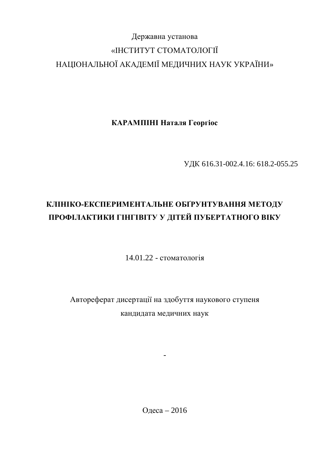# Державна установа «ІНСТИТУТ СТОМАТОЛОГІЇ НАЦІОНАЛЬНОЇ АКАДЕМІЇ МЕДИЧНИХ НАУК УКРАЇНИ»

КАРАМПІНІ Наталя Георгіос

ɍȾɄ 616.31-002.4.16: 618.2-055.25

# КЛІНІКО-ЕКСПЕРИМЕНТАЛЬНЕ ОБҐРУНТУВАННЯ МЕТОДУ ПРОФІЛАКТИКИ ГІНГІВІТУ У ДІТЕЙ ПУБЕРТАТНОГО ВІКУ

14.01.22 - стоматологія

Автореферат дисертації на здобуття наукового ступеня кандидата медичних наук

-

Одеса – 2016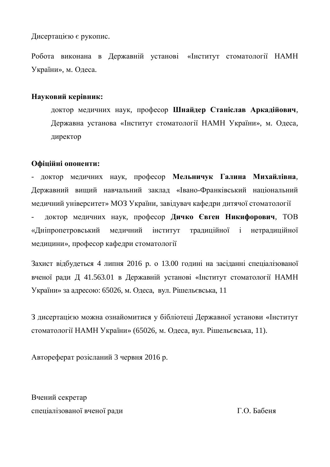Дисертацією є рукопис.

Робота виконана в Державній установі «Інститут стоматології НАМН України», м. Одеса.

### **Науковий керівник:**

доктор медичних наук, професор Шнайдер Станіслав Аркадійович, Державна установа «Інститут стоматології НАМН України», м. Одеса, директор

#### Офіційні опоненти:

- доктор медичних наук, професор Мельничук Галина Михайлівна, Державний вищий навчальний заклад «Івано-Франківський національний меличний університет» МОЗ України, завілувач кафелри литячої стоматології доктор медичних наук, професор Дичко Євген Никифорович, ТОВ «Дніпропетровський медичний інститут традиційної і нетрадиційної медицини», професор кафедри стоматології

Захист відбудеться 4 липня 2016 р. о 13.00 годині на засіданні спеціалізованої вченої ради Д 41.563.01 в Державній установі «Інститут стоматології НАМН України» за адресою: 65026, м. Одеса, вул. Рішельєвська, 11

З дисертацією можна ознайомитися у бібліотеці Державної установи «Інститут стоматології НАМН України» (65026, м. Одеса, вул. Рішельєвська, 11).

Автореферат розісланий 3 червня 2016 р.

Вчений секретар спеціалізованої вченої ради Савета Савета Г.О. Бабеня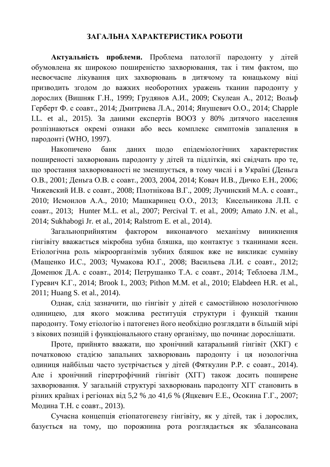#### ЗАГАЛЬНА ХАРАКТЕРИСТИКА РОБОТИ

Актуальність проблеми. Проблема патології пародонту у дітей обумовлена як широкою поширеністю захворювання, так і тим фактом, що несвоєчасне лікування цих захворювань в дитячому та юнацькому віці призводить згодом до важких необоротних уражень тканин пародонту у дорослих (Вишняк Г.Н., 1999; Грудянов А.И., 2009; Скулеан А., 2012; Вольф Герберт Ф. с соавт., 2014; Дмитриева Л.А., 2014; Янушевич О.О., 2014; Chapple I.L. et al., 2015). За даними експертів ВООЗ у 80% дитячого населення розпізнаються окремі ознаки або весь комплекс симптомів запалення в пародонті (WHO, 1997).

Накопичено банк даних щодо епідеміологічних характеристик поширеності захворювань пародонту у дітей та підлітків, які свідчать про те, що зростання захворюваності не зменшується, в тому числі і в Україні (Деньга О.В., 2001; Деньга О.В. с соавт., 2003, 2004, 2014; Ковач И.В., Дичко Е.Н., 2006; Чижевский И.В. с соавт., 2008; Плотнікова В.Г., 2009; Лучинский М.А. с соавт., 2010; Исмоилов А.А., 2010; Машкаринец О.О., 2013; Кисельникова Л.П. с coabt., 2013; Hunter M.L. et al., 2007; Percival T. et al., 2009; Amato J.N. et al., 2014; Sukhabogi Jr. et al., 2014; Ralstrom E. et al., 2014).

Загальноприйнятим фактором виконавчого механізму виникнення гінгівіту вважається мікробна зубна бляшка, що контактує з тканинами ясен. Етіологічна роль мікроорганізмів зубних бляшок вже не викликає сумніву (Мащенко И.С., 2003; Чумакова Ю.Г., 2008; Васильева Л.И. с соавт., 2012; Доменюк Д.А. с соавт., 2014; Петрушанко Т.А. с соавт., 2014; Теблоева Л.М., Гуревич К.Г., 2014; Brook I., 2003; Pithon M.M. et al., 2010; Elabdeen H.R. et al., 2011; Huang S. et al., 2014).

Однак, слід зазначити, що гінгівіт у дітей є самостійною нозологічною одиницею, для якого можлива реституція структури і функцій тканин пародонту. Тому етіологію і патогенез його необхідно розглядати в більшій мірі з вікових позицій і функціонального стану організму, що починає дорослішати.

Проте, прийнято вважати, що хронічний катаральний гінгівіт (ХКГ) є початковою стадією запальних захворювань пародонту і ця нозологічна одиниця найбільш часто зустрічається у дітей (Фяткулин Р.Р. с соавт., 2014). Але і хронічний гіпертрофічний гінгівіт (ХГГ) також досить поширене захворювання. У загальній структурі захворювань пародонту ХГГ становить в різних країнах і регіонах від 5,2 % до 41,6 % (Яцкевич Е.Е., Осокина Г.Г., 2007; Модина Т.Н. с соавт., 2013).

Сучасна концепція етіопатогенезу гінгівіту, як у дітей, так і дорослих, базується на тому, що порожнина рота розглядається як збалансована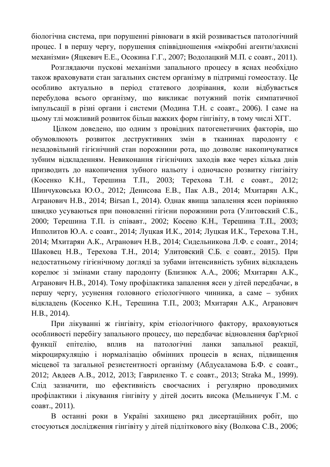біологічна система, при порушенні рівноваги в якій розвивається патологічний процес. І в першу чергу, порушення співвідношення «мікробні агенти/захисні механізми» (Яцкевич Е.Е., Осокина Г.Г., 2007; Водолацкий М.П. с соавт., 2011).

Розглядаючи пускові механізми запального процесу в яснах необхідно також враховувати стан загальних систем організму в підтримці гомеостазу. Це особливо актуально в період статевого дозрівання, коли відбувається перебудова всього організму, що викликає потужний потік симпатичної імпульсації в різні органи і системи (Модина Т.Н. с соавт., 2006). І саме на цьому тлі можливий розвиток більш важких форм гінгівіту, в тому числі ХГГ.

Цілком доведено, що одним з провідних патогенетичних факторів, що обумовлюють розвиток деструктивних змін в тканинах пародонту є незадовільний гігієнічний стан порожнини рота, що дозволяє накопичуватися зубним відкладенням. Невиконання гігієнічних заходів вже через кілька днів призводить до накопичення зубного нальоту і одночасно розвитку гінгівіту (Косенко К.Н., Терешина Т.П., 2003; Терехова Т.Н. с соавт., 2012; Шинчуковська Ю.О., 2012; Денисова Е.В., Пак А.В., 2014; Мхитарян А.К., Агранович Н.В., 2014; Birsan I., 2014). Однак явища запалення ясен порівняно швидко усуваються при поновленні гігієни порожнини рота (Улитовский С.Б., 2000; Терешина Т.П. із співавт., 2002; Косено К.Н., Терешина Т.П., 2003; Ипполитов Ю.А. с соавт., 2014; Луцкая И.К., 2014; Луцкая И.К., Терехова Т.Н., 2014; Мхитарян А.К., Агранович Н.В., 2014; Сидельникова Л.Ф. с соавт., 2014; Шаковец Н.В., Терехова Т.Н., 2014; Улитовский С.Б. с соавт., 2015). При недостатньому гігієнічному догляді за зубами інтенсивність зубних відкладень корелює зі змінами стану пародонту (Близнюк А.А., 2006; Мхитарян А.К., Агранович Н.В., 2014). Тому профілактика запалення ясен у дітей передбачає, в першу чергу, усунення головного етіологічного чинника, а саме – зубних відкладень (Косенко К.Н., Терешина Т.П., 2003; Мхитарян А.К., Агранович H.B., 2014).

При лікуванні ж гінгівіту, крім етіологічного фактору, враховуються особливості перебігу запального процесу, що передбачає відновлення бар'єрної функції епітелію, вплив на патологічні ланки запальної реакції, мікроциркуляцію і нормалізацію обмінних процесів в яснах, підвищення місцевої та загальної резистентності організму (Абдусаламова Б.Ф. с соавт., 2012; Авдеев А.В., 2012, 2013; Гавриленко Т. с соавт., 2013; Straka M., 1999). Сліл зазначити, що ефективність своєчасних і регулярно проволимих профілактики і лікування гінгівіту у дітей досить висока (Мельничук Г.М. с соавт., 2011).

В останні роки в Україні захищено ряд дисертаційних робіт, що стосуються дослідження гінгівіту у дітей підліткового віку (Волкова С.В., 2006;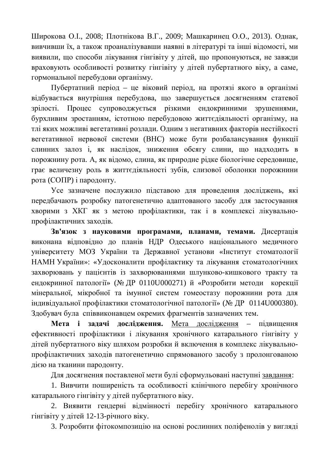Широкова О.І., 2008; Плотнікова В.Г., 2009; Машкаринец О.О., 2013). Однак, вивчивши їх, а також проаналізувавши наявні в літературі та інші відомості, ми виявили, що способи лікування гінгівіту у дітей, що пропонуються, не завжди враховують особливості розвитку гінгівіту у дітей пубертатного віку, а саме, гормональної перебудови організму.

Пубертатний період – це віковий період, на протязі якого в організмі відбувається внутрішня перебудова, що завершується досягненням статевої зрілості. Процес супроводжується різкими ендокринними зрушеннями, бурхливим зростанням, істотною перебудовою життєдіяльності організму, на тлі яких можливі вегетативні розлади. Одним з негативних факторів нестійкості вегетативної нервової системи (ВНС) може бути розбалансування функції слинних залоз і, як наслідок, зниження обсягу слини, що надходить в порожнину рота. А, як відомо, слина, як природне рідке біологічне середовище, грає величезну роль в життєдіяльності зубів, слизової оболонки порожнини рота (СОПР) і пародонту.

Усе зазначене послужило підставою для проведення досліджень, які передбачають розробку патогенетично адаптованого засобу для застосування хворими з ХКГ як з метою профілактики, так і в комплексі лікувальнопрофілактичних заходів.

Зв'язок з науковими програмами, планами, темами. Дисертація виконана відповідно до планів НДР Одеського національного медичного університету МОЗ України та Державної установи «Інститут стоматології НАМН України»: «Удосконалити профілактику та лікування стоматологічних захворювань у пацієнтів із захворюваннями шлунково-кишкового тракту та ендокринної патології» (№ ДР 0110U000271) й «Розробити методи корекції мінеральної, мікробної та імунної систем гомеостазу порожнини рота для індивідуальної профілактики стоматологічної патології» (№ ДР 0114U000380). Здобувач була співвиконавцем окремих фрагментів зазначених тем.

Мета і задачі дослідження. Мета дослідження – підвищення ефективності профілактики і лікування хронічного катарального гінгівіту у дітей пубертатного віку шляхом розробки й включення в комплекс лікувальнопрофілактичних заходів патогенетично спрямованого засобу з пролонгованою дією на тканини пародонту.

Для досягнення поставленої мети булі сформульовані наступні завдання:

1. Вивчити поширеність та особливості клінічного перебігу хронічного катарального гінгівіту у дітей пубертатного віку.

2. Виявити гендерні відмінності перебігу хронічного катарального гінгівіту у літей 12-13-річного віку.

3. Розробити фітокомпозицію на основі рослинних поліфенолів у вигляді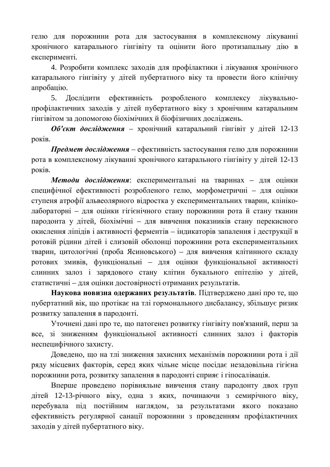гелю для порожнини рота для застосування в комплексному лікуванні хронічного катарального гінгівіту та оцінити його протизапальну дію в експерименті.

4. Розробити комплекс заходів для профілактики і лікування хронічного катарального гінгівіту у дітей пубертатного віку та провести його клінічну апробацію.

5. Дослідити ефективність розробленого комплексу лікувальнопрофілактичних заходів у дітей пубертатного віку з хронічним катаральним гінгівітом за допомогою біохімічних й біофізичних досліджень.

**Об'єкт дослідження** – хронічний катаральний гінгівіт у дітей 12-13 років.

**Предмет дослідження** – ефективність застосування гелю для порожнини рота в комплексному лікуванні хронічного катарального гінгівіту у дітей 12-13 pokib.

Методи дослідження: експериментальні на тваринах – для оцінки специфічної ефективності розробленого гелю, морфометричні – для оцінки ступеня атрофії альвеолярного відростка у експериментальних тварин, клініколабораторні – для оцінки гігієнічного стану порожнини рота й стану тканин пародонта у дітей, біохімічні – для вивчення показників стану перекисного окислення ліпідів і активності ферментів – індикаторів запалення і деструкції в ротовій рідини дітей і слизовій оболонці порожнини рота експериментальних тварин, цитологічні (проба Ясиновського) – для вивчення клітинного складу ротових змивів, функціональні – для оцінки функціональної активності слинних залоз і зарядового стану клітин букального епітелію у дітей, статистичні – для оцінки достовірності отриманих результатів.

Наукова новизна одержаних результатів. Підтверджено дані про те, що пубертатний вік, що протікає на тлі гормонального дисбалансу, збільшує ризик розвитку запалення в пародонті.

Уточнені дані про те, що патогенез розвитку гінгівіту пов'язаний, перш за все, зі зниженням функціональної активності слинних залоз і факторів неспецифічного захисту.

Доведено, що на тлі зниження захисних механізмів порожнини рота і дії ряду місцевих факторів, серед яких чільне місце посідає незадовільна гігієна порожнини рота, розвитку запалення в пародонті сприяє і гіпосалівація.

Вперше проведено порівняльне вивчення стану пародонту двох груп дітей 12-13-річного віку, одна з яких, починаючи з семирічного віку, перебувала під постійним наглядом, за результатами якого показано ефективність регулярної санації порожнини з проведенням профілактичних заходів у дітей пубертатного віку.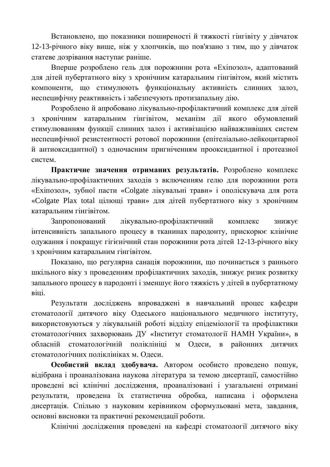Встановлено, що показники поширеності й тяжкості гінгівіту у дівчаток 12-13-річного віку вище, ніж у хлопчиків, що пов'язано з тим, що у дівчаток статеве дозрівання наступає раніше.

Вперше розроблено гель для порожнини рота «Ехіпозол», адаптований для дітей пубертатного віку з хронічним катаральним гінгівітом, який містить компоненти, що стимулюють функціональну активність слинних залоз, неспецифічну реактивність і забезпечують протизапальну дію.

Розроблено й апробовано лікувально-профілактичний комплекс для дітей з хронічним катаральним гінгівітом, механізм дії якого обумовлений стимулюванням функції слинних залоз і активізацією найважливіших систем неспецифічної резистентності ротової порожнини (епітеліально-лейкоцитарної й антиоксидантної) з одночасним пригніченням прооксидантної і протеазної систем.

Практичне значення отриманих результатів. Розроблено комплекс лікувально-профілактичних заходів з включенням гелю для порожнини рота «Ехіпозол», зубної пасти «Colgate лікувальні трави» і ополіскувача для рота «Colgate Plax total цілющі трави» для дітей пубертатного віку з хронічним катаральним гінгівітом.

Запропонований лікувально-профілактичний комплекс знижує інтенсивність запального процесу в тканинах пародонту, прискорює клінічне одужання і покращує гігієнічний стан порожнини рота дітей 12-13-річного віку з хронічним катаральним гінгівітом.

Показано, що регулярна санація порожнини, що починається з раннього шкільного віку з проведенням профілактичних заходів, знижує ризик розвитку запального процесу в пародонті і зменшує його тяжкість у дітей в пубертатному Bitti.

Результати досліджень впроваджені в навчальний процес кафедри стоматології дитячого віку Одеського національного медичного інституту, використовуються у лікувальній роботі відділу епідеміології та профілактики стоматологічних захворювань ДУ «Інститут стоматології НАМН України», в обласній стоматологічній поліклініці м Одеси, в районних дитячих стоматологічних поліклініках м. Одеси.

Особистий вклад здобувача. Автором особисто проведено пошук, відібрана і проаналізована наукова література за темою дисертації, самостійно проведені всі клінічні дослідження, проаналізовані і узагальнені отримані результати, проведена їх статистична обробка, написана і оформлена дисертація. Спільно з науковим керівником сформульовані мета, завдання, основні висновки та практичні рекомендації роботи.

Клінічні дослідження проведені на кафедрі стоматології дитячого віку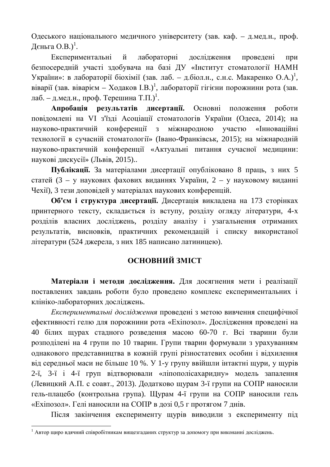Одеського національного медичного університету (зав. каф. – д.мед.н., проф. Дєньга О.В.) $^1$ .

Експериментальні й лабораторні дослідження проведені при безпосередній участі здобувача на базі ДУ «Інститут стоматології НАМН України»: в лабораторії біохімії (зав. лаб. – д.біол.н., с.н.с. Макаренко О.А.)<sup>1</sup>, віварії (зав. віварієм – Ходаков І.В.)<sup>1</sup>, лабораторії гігієни порожнини рота (зав. лаб. – д.мед.н., проф. Терешина Т.П.)<sup>1</sup>.

Апробація результатів дисертації. Основні положення роботи повідомлені на VI з'їзді Асоціації стоматологів України (Одеса, 2014); на науково-практичній конференції з міжнародною участю «Інноваційні технології в сучасній стоматології» (Івано-Франківськ, 2015); на міжнародній науково-практичній конференції «Актуальні питання сучасної медицини: наукові дискусії» (Львів, 2015)..

Публікації. За матеріалами дисертації опубліковано 8 праць, з них 5 статей (3 – у наукових фахових виданнях України, 2 – у науковому виданні Чехії), 3 тези доповідей у матеріалах наукових конференцій.

Об'єм і структура дисертації. Дисертація викладена на 173 сторінках принтерного тексту, складається із вступу, розділу огляду літератури, 4-х розділів власних досліджень, розділу аналізу і узагальнення отриманих результатів, висновків, практичних рекомендацій і списку використаної літератури (524 джерела, з них 185 написано латиницею).

## **ОСНОВНИЙ ЗМІСТ**

Матеріали і методи дослідження. Для досягнення мети і реалізації поставлених завдань роботи було проведено комплекс експериментальних і клініко-лабораторних досліджень.

Експериментальні дослідження проведені з метою вивчення специфічної ефективності гелю для порожнини рота «Ехіпозол». Дослідження проведені на 40 білих щурах стадного розведення масою 60-70 г. Всі тварини були розподілені на 4 групи по 10 тварин. Групи тварин формували з урахуванням однакового представництва в кожній групі різностатевих особин і відхилення від середньої маси не більше 10 %. У 1-у групу ввійшли інтактні щури, у щурів 2-ї, 3-ї і 4-ї груп відтворювали «ліпополісахаридну» модель запалення (Левицкий А.П. с соавт., 2013). Додатково щурам 3-ї групи на СОПР наносили гель-плацебо (контрольна група). Щурам 4-ї групи на СОПР наносили гель «Ехіпозол». Гелі наносили на СОПР в дозі 0,5 г протягом 7 днів.

Після закінчення експерименту щурів виводили з експерименту під

 $^1$  Автор щиро вдячний співробітникам вищезгаданих структур за допомогу при виконанні досліджень.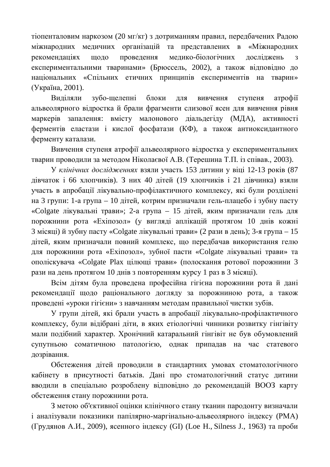тіопенталовим наркозом (20 мг/кг) з дотриманням правил, передбачених Радою міжнародних медичних організацій та представлених в «Міжнародних рекомендаціях щодо проведення медико-біологічних досліджень з експериментальними тваринами» (Брюссель, 2002), а також відповідно до національних «Спільних етичних принципів експериментів на тварин» (Україна, 2001).

Виділяли зубо-щелепні блоки для вивчення ступеня атрофії альвеолярного відростка й брали фрагменти слизової ясен для вивчення рівня маркерів запалення: вмісту малонового діальдегіду (МДА), активності ферментів еластази і кислої фосфатази (КФ), а також антиоксидантного ферменту каталази.

Вивчення ступеня атрофії альвеолярного відростка у експериментальних тварин проводили за методом Ніколаєвої А.В. (Терешина Т.П. із співав., 2003).

У клінічних дослідженнях взяли участь 153 дитини у віці 12-13 років (87 дівчаток і 66 хлопчиків). З них 40 дітей (19 хлопчиків і 21 дівчинка) взяли участь в апробації лікувально-профілактичного комплексу, які були розділені на 3 групи: 1-а група – 10 дітей, котрим призначали гель-плацебо і зубну пасту «Colgate лікувальні трави»; 2-а група – 15 дітей, яким призначали гель для порожнини рота «Ехіпозол» (у вигляді аплікацій протягом 10 днів кожні  $3$  місяці) й зубну пасту «Colgate лікувальні трави» (2 рази в день);  $3$ -я група – 15 дітей, яким призначали повний комплекс, що передбачав використання гелю для порожнини рота «Ехіпозол», зубної пасти «Colgate лікувальні трави» та ополіскувача «Colgate Plax цілющі трави» (полоскання ротової порожнини 3 рази на день протягом 10 днів з повторенням курсу 1 раз в 3 місяці).

Всім дітям була проведена професійна гігієна порожнини рота й дані рекомендації щодо раціонального догляду за порожниною рота, а також проведені «уроки гігієни» з навчанням методам правильної чистки зубів.

У групи дітей, які брали участь в апробації лікувально-профілактичного комплексу, були відібрані діти, в яких етіологічні чинники розвитку гінгівіту мали подібний характер. Хронічний катаральний гінгівіт не був обумовлений супутньою соматичною патологією, однак припадав на час статевого дозрівання.

Обстеження дітей проводили в стандартних умовах стоматологічного кабінету в присутності батьків. Дані про стоматологічний статус дитини вводили в спеціально розроблену відповідно до рекомендацій ВООЗ карту обстеження стану порожнини рота.

З метою об'єктивної оцінки клінічного стану тканин пародонту визначали і аналізували показники папілярно-маргінально-альвеолярного індексу (РМА) (Грудянов А.И., 2009), ясенного індексу (GI) (Loe H., Silness J., 1963) та проби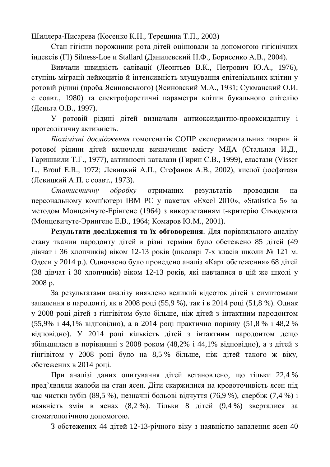Шиллера-Писарева (Косенко К.Н., Терешина Т.П., 2003)

Стан гігієни порожнини рота дітей оцінювали за допомогою гігієнічних iндексiв (П) Silness-Loe и Stallard (Данилевский Н.Ф., Борисенко А.В., 2004).

Вивчали швидкість салівації (Леонтьев В.К., Петрович Ю.А., 1976), ступінь міграції лейкоцитів й інтенсивність злущування епітеліальних клітин у ротовій рідині (проба Ясиновського) (Ясиновский М.А., 1931; Сукманский О.И. с соавт., 1980) та електрофоретичні параметри клітин букального епітелію (Деньга О.В., 1997).

У ротовій рідині дітей визначали антиоксидантно-прооксидантну і протеолітичну активність.

*Біохімічні дослідження* гомогенатів СОПР експериментальних тварин й ротової рідини дітей включали визначення вмісту МДА (Стальная И.Д., Гаришвили Т.Г., 1977), активності каталази (Гирин С.В., 1999), еластази (Visser L., Brouf E.R., 1972; Левицкий А.П., Стефанов А.В., 2002), кислої фосфатази (Левицкий А.П. с соавт., 1973).

Статистичну обробку отриманих результатів проводили на персональному комп'ютері IBM PC у пакетах «Excel 2010», «Statistica 5» за методом Монцевічуте-Ерінгене (1964) з використанням t-критерію Стьюдента (Монцевичуте-Эрингене Е.В., 1964; Комаров Ю.М., 2001).

Результати дослідження та їх обговорення. Для порівняльного аналізу стану тканин пародонту дітей в різні терміни було обстежено 85 дітей (49 дівчат і 36 хлопчиків) віком 12-13 років (школярі 7-х класів школи № 121 м. Одеси у 2014 р.). Одночасно було проведено аналіз «Карт обстеження» 68 дітей (38 дівчат і 30 хлопчиків) віком 12-13 років, які навчалися в цій же школі у 2008 p.

За результатами аналізу виявлено великий відсоток дітей з симптомами запалення в пародонті, як в 2008 році (55,9 %), так і в 2014 році (51,8 %). Однак у 2008 році дітей з гінгівітом було більше, ніж дітей з інтактним пародонтом (55,9% і 44,1% відповідно), а в 2014 році практично порівну (51,8 % і 48,2 % відповідно). У 2014 році кількість дітей з інтактним пародонтом дещо збільшилася в порівнянні з 2008 роком (48,2% і 44,1% відповідно), а з дітей з гінгівітом у 2008 році було на 8,5 % більше, ніж дітей такого ж віку, обстежених в 2014 році.

При аналізі даних опитування дітей встановлено, що тільки 22,4 % пред'являли жалоби на стан ясен. Літи скаржилися на кровоточивість ясен під час чистки зубів (89,5 %), незначні больові відчуття (76,9 %), свербіж (7,4 %) і наявність змін в яснах (8,2 %). Тільки 8 дітей (9,4 %) зверталися за стоматологічною лопомогою.

3 обстежених 44 дітей 12-13-річного віку з наявністю запалення ясен 40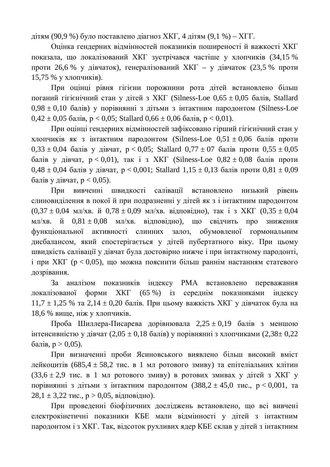дітям (90,9 %) було поставлено діагноз ХКГ, 4 дітям (9,1 %) – ХГГ.

Оцінка гендерних відмінностей показників поширеності й важкості ХКГ показала, що локалізований ХКГ зустрічався частіше у хлопчиків (34,15 % проти 26,6 % у дівчаток), генералізований ХКГ – у дівчаток (23,5 % проти 15,75 % у хлопчиків).

При оцінці рівня гігієни порожнини рота дітей встановлено більш поганий гігієнічний стан у дітей з ХКГ (Silness-Loe 0,65 ± 0,05 балів, Stallard  $0.98 \pm 0.10$  балів) у порівнянні з дітьми з інтактним пародонтом (Silness-Loe  $0.42 \pm 0.05$  балів,  $p < 0.05$ ; Stallard  $0.66 \pm 0.06$  балів,  $p < 0.01$ ).

При оцінці гендерних відмінностей зафіксовано гірший гігієнічний стан у хлопчиків як з інтактним пародонтом (Silness-Loe  $0.51 \pm 0.06$  балів проти  $0.33 \pm 0.04$  балів у дівчат,  $p < 0.05$ ; Stallard  $0.77 \pm 07$  балів проти  $0.55 \pm 0.05$ балів у дівчат,  $p < 0.01$ ), так і з ХКГ (Silness-Loe  $0.82 \pm 0.08$  балів проти  $0.48 \pm 0.04$  балів у дівчат,  $p < 0.001$ ; Stallard  $1.15 \pm 0.13$  балів проти  $0.81 \pm 0.09$ балів у дівчат,  $p < 0.05$ ).

При вивченні швидкості салівації встановлено низький рівень слиновиділення в покої й при подразненні у дітей як з і інтактним пародонтом  $(0,37 \pm 0.04 \text{ MJ/XB. } H\ 0.78 \pm 0.09 \text{ MJ/XB. } B\ \text{IJ}(\text{DBI/HO}), \text{ TAK} \text{I} \text{3} \text{XKT} \quad (0,35 \pm 0.04 \text{ MJ/XB. } H\ \text{A} \text{A} \text{K} \text{C})$ мл/хв. й  $0.81 \pm 0.08$  мл/хв. відповідно), що свідчить про зниження функціональної активності слинних залоз, обумовленої гормональним дисбалансом, який спостерігається у дітей пубертатного віку. При цьому швидкість салівації у дівчат була достовірно нижче і при інтактному пародонті.  $\overline{a}$  при XKГ ( $p < 0.05$ ), що можна пояснити більш раннім настанням статевого дозрівання.

За аналізом показників індексу РМА встановлено переважання докалізованої форми ХКГ (65 %) із середнім показниками індексу  $11.7 \pm 1.25$  % та 2,14  $\pm$  0.20 балів. При цьому важкість ХКГ у дівчаток була на 18,6 % вище, ніж у хлопчиків.

Проба Шиллера-Писарева дорівнювала  $2,25 \pm 0,19$  балів з меншою інтенсивністю у дівчат (2,05 ± 0,18 балів) у порівнянні з хлопчиками (2,38± 0,22  $\bar{0}$ алів, р > 0,05).

При визначенні проби Ясиновського виявлено більш високий вміст дейкоцитів (685,4 ± 58,2 тис. в 1 мл ротового змиву) та епітеліальних клітин  $(33,6 \pm 2,9 \text{ TMC. B } 1 \text{ MI} \text{ poroboro}$  змиву) в ротових змивах у дітей з ХКГ у порівнянні з дітьми з інтактним пародонтом  $(388,2 \pm 45,0 \text{ TMC.}, \text{p} < 0,001, \text{TA})$  $28,1 \pm 3,22$  тис.,  $p > 0,05$ , відповідно).

При проведенні біофізичних досліджень встановлено, що всі вивчені електрокінетичні показники КБЕ мали вілмінності у літей з інтактним пародонтом і з ХКГ. Так, відсоток рухливих ядер КБЕ склав у дітей з інтактним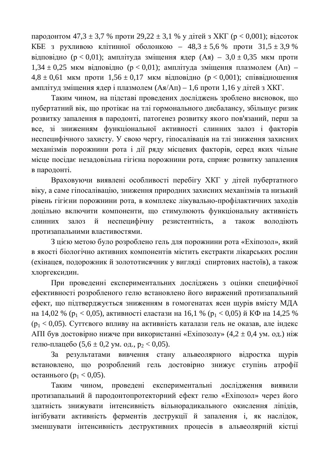пародонтом 47,3  $\pm$  3,7 % проти 29,22  $\pm$  3,1 % у дітей з ХКГ (p < 0,001); відсоток КБЕ з рухливою клітинної оболонкою – 48,3 ± 5,6 % проти  $31,5 \pm 3,9$  % відповідно (р < 0,01); амплітуда зміщення ядер (Ая) – 3,0 ± 0,35 мкм проти  $1,34 \pm 0,25$  мкм відповідно (р < 0,01); амплітуда зміщення плазмолем (Ап) –  $4,8 \pm 0,61$  MKM проти  $1,56 \pm 0,17$  MKM відповідно ( $p < 0,001$ ); співвідношення амплітуд зміщення ядер і плазмолем ( $As/A\pi$ ) – 1,6 проти 1,16 у дітей з ХКГ.

Таким чином, на підставі проведених досліджень зроблено висновок, що пубертатний вік, що протікає на тлі гормонального дисбалансу, збільшує ризик розвитку запалення в пародонті, патогенез розвитку якого пов'язаний, перш за все, зі зниженням функціональної активності слинних залоз і факторів неспецифічного захисту. У свою чергу, гіпосалівація на тлі зниження захисних механізмів порожнини рота і дії ряду місцевих факторів, серед яких чільне місце посідає незадовільна гігієна порожнини рота, сприяє розвитку запалення в пародонті.

Враховуючи виявлені особливості перебігу ХКГ у дітей пубертатного віку, а саме гіпосалівацію, зниження природних захисних механізмів та низький рівень гігієни порожнини рота, в комплекс лікувально-профілактичних заходів доцільно включити компоненти, що стимулюють функціональну активність слинних залоз й неспецифічну резистентність, а також володіють протизапальними властивостями.

З цією метою було розроблено гель для порожнини рота «Ехіпозол», який в якості біологічно активних компонентів містить екстракти лікарських рослин (ехінацея, подорожник й золототисячник у вигляді спиртових настоїв), а також хлоргексидин.

При проведенні експериментальних досліджень з оцінки специфічної ефективності розробленого гелю встановлено його виражений протизапальний ефект, що підтверджується зниженням в гомогенатах ясен щурів вмісту МДА на 14,02 % ( $p_1 < 0.05$ ), активності еластази на 16,1 % ( $p_1 < 0.05$ ) й КФ на 14,25 %  $(p_1 < 0.05)$ . Суттєвого впливу на активність каталази гель не оказав, але індекс АПІ був достовірно нижче при використанні «Ехіпозолу» (4,2 ± 0,4 ум. од.) ніж гелю-плацебо (5,6  $\pm$  0,2 ум. од.,  $p_2$  < 0,05).

За результатами вивчення стану альвеолярного відростка щурів встановлено, що розроблений гель достовірно знижує ступінь атрофії останнього ( $p_1 < 0.05$ ).

Таким чином, проведені експериментальні дослідження виявили протизапальний й пародонтопротекторний ефект гелю «Ехіпозол» через його здатність знижувати інтенсивність вільнорадикального окислення ліпідів, інгібувати активність ферментів деструкції й запалення і, як наслідок, зменшувати інтенсивність деструктивних процесів в альвеолярній кістці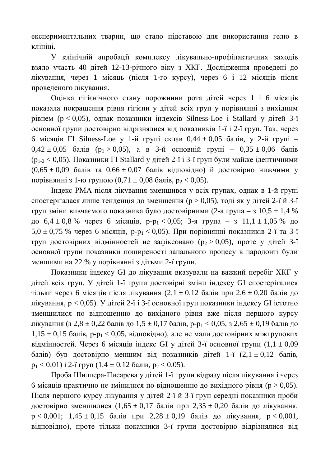експериментальних тварин, що стало підставою для використання гелю в клініці.

У клінічній апробації комплексу лікувально-профілактичних заходів взяло участь 40 дітей 12-13-річного віку з ХКГ. Дослідження проведені до лікування, через 1 місяць (після 1-го курсу), через 6 і 12 місяців після проведеного лікування.

Оцінка гігієнічного стану порожнини рота дітей через 1 і 6 місяців показала покращення рівня гігієни у дітей всіх груп у порівнянні з вихідним  $pi$ вием ( $p < 0.05$ ), однак показники індексів Silness-Loe і Stallard у дітей 3-ї основної групи достовірно відрізнялися від показників 1-ї і 2-ї груп. Так, через 6 місяців  $\Gamma$ I Silness-Loe у 1-й групі склав 0,44  $\pm$  0,05 балів, у 2-й групі –  $0.42 \pm 0.05$  балів (p<sub>1</sub> > 0.05), а в 3-й основній групі – 0,35  $\pm$  0.06 балів  $(p_{1-2} < 0.05)$ . Показники  $\Gamma$ I Stallard у дітей 2-ї і 3-ї груп були майже ідентичними  $(0.65 \pm 0.09)$  балів та  $0.66 \pm 0.07$  балів відповідно) й достовірно нижчими у порівнянні з 1-ю групою  $(0.71 \pm 0.08 \text{ балів}, p_2 < 0.05)$ .

Індекс РМА після лікування зменшився у всіх групах, однак в 1-й групі спостерігалася лише тенденція до зменшення (р > 0,05), тоді як у дітей 2-ї й 3-ї груп зміни вивчаємого показника було достовірними (2-а група – з 10,5  $\pm$  1,4 % до  $6.4 \pm 0.8$  % через 6 місяців, p-p<sub>1</sub> < 0,05; 3-я група – з 11,1  $\pm$  1,05 % до  $5.0 \pm 0.75$  % через 6 місяців, p-p<sub>1</sub> < 0.05). При порівнянні показників 2-ї та 3-ї груп достовірних відмінностей не зафіксовано ( $p_2 > 0.05$ ), проте у дітей 3-ї основної групи показники поширеності запального процесу в пародонті були меншими на 22 % у порівнянні з дітьми 2-ї групи.

Показники індексу GI до лікування вказували на важкий перебіг ХКГ у дітей всіх груп. У дітей 1-ї групи достовірні зміни індексу GI спостерігалися тільки через 6 місяців після лікування  $(2,1 \pm 0,12$  балів при  $2,6 \pm 0,20$  балів до лікування,  $p < 0.05$ ). У дітей 2-ї і 3-ї основної груп показники індексу GI істотно зменшилися по відношенню до вихідного рівня вже після першого курсу лікування (з 2,8 ± 0,22 балів до 1,5 ± 0,17 балів, p-p<sub>1</sub> < 0,05, з 2,65 ± 0,19 балів до  $1,15 \pm 0,15$  балів, р-р<sub>1</sub> < 0,05, відповідно), але не мали достовірних міжгрупових відмінностей. Через 6 місяців індекс GI у дітей 3-ї основної групи  $(1,1 \pm 0,09)$ балів) був достовірно меншим від показників дітей 1-ї  $(2,1 \pm 0,12)$  балів,  $p_1 < 0.01$ ) i 2-i rpyn  $(1.4 \pm 0.12 \text{ 6a}$  $\text{m/s}, p_2 < 0.05)$ .

Проба Шиллера-Писарева у дітей 1-ї групи відразу після лікування і через 6 місяців практично не змінилися по відношенню до вихідного рівня ( $p > 0.05$ ). Після першого курсу лікування у дітей 2-ї й 3-ї груп середні показники проби достовірно зменшилися  $(1,65 \pm 0,17)$  балів при 2,35  $\pm$  0,20 балів до лікування,  $p < 0.001$ ;  $1.45 \pm 0.15$  балів при  $2.28 \pm 0.19$  балів до лікування,  $p < 0.001$ , відповідно), проте тільки показники 3-ї групи достовірно відрізнялися від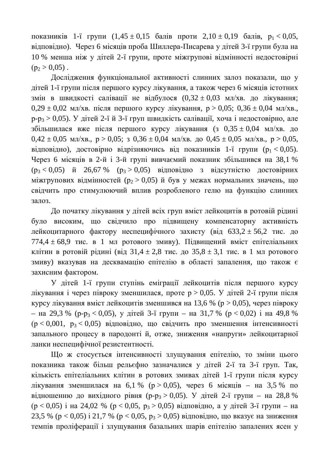показників 1-ї групи (1,45 ± 0,15 балів проти 2,10 ± 0,19 балів,  $p_1 < 0.05$ , відповідно). Через 6 місяців проба Шиллера-Писарева у дітей 3-ї групи була на 10 % менша ніж у дітей 2-ї групи, проте міжгрупові відмінності недостовірні  $(p_2 > 0.05)$ .

Дослідження функціональної активності слинних залоз показали, що у дітей 1-ї групи після першого курсу лікування, а також через 6 місяців істотних змін в швидкості салівації не відбулося  $(0,32 \pm 0,03 \text{ MHz/KB})$ . до лікування;  $0.29 \pm 0.02$  MI/XB. ПІСЛЯ ПЕРШОГО КУРСУ ЛІКУВАННЯ,  $p > 0.05$ ;  $0.36 \pm 0.04$  MI/XB.  $p-p_3 > 0.05$ ). У дітей 2-ї й 3-ї груп швидкість салівації, хоча і недостовірно, але збільшилася вже після першого курсу лікування (з 0,35 ± 0,04 мл/хв. до  $0.42 \pm 0.05$  MII/XB.,  $p > 0.05$ ;  $3 \pm 0.36 \pm 0.04$  MII/XB.  $q = 0.05$  MII/XB.,  $p > 0.05$ , відповідно), достовірно відрізняючись від показників 1-ї групи ( $p_1 < 0.05$ ). Через 6 місяців в 2-й і 3-й групі вивчаємий показник збільшився на 38,1 %  $(p_3 < 0.05)$  й 26,67 %  $(p_3 > 0.05)$  відповідно з відсутністю достовірних міжгрупових відмінностей ( $p_2 > 0.05$ ) й був у межах нормальних значень, що свідчить про стимулюючий вплив розробленого гелю на функцію слинних залоз.

До початку лікування у дітей всіх груп вміст лейкоцитів в ротовій рідині було високим, що свідчило про підвищену компенсаторну активність лейкоцитарного фактору неспецифічного захисту (від  $633.2 \pm 56.2$  тис. до 774,4  $\pm$  68,9 тис. в 1 мл ротового змиву). Підвищений вміст епітеліальних клітин в ротовій рідині (від  $31.4 \pm 2.8$  тис. до  $35.8 \pm 3.1$  тис. в 1 мл ротового змиву) вказував на десквамацію епітелію в області запалення, що також є захисним фактором.

У дітей 1-ї групи ступінь еміграції лейкоцитів після першого курсу лікування і через півроку зменшилася, проте р > 0,05. У дітей 2-ї групи після курсу лікування вміст лейкоцитів зменшився на 13,6 % ( $p > 0.05$ ), через півроку – на 29,3 % (p-p<sub>3</sub> < 0,05), у дітей 3-ї групи – на 31,7 % (p < 0,02) і на 49,8 %  $(p < 0.001, p_3 < 0.05)$  відповідно, що свідчить про зменшення інтенсивності запального процесу в пародонті й, отже, зниження «напруги» лейкоцитарної ланки неспецифічної резистентності.

Що ж стосується інтенсивності злущування епітелію, то зміни цього показника також більш рельєфно зазначалися у дітей 2-ї та 3-ї груп. Так, кількість епітеліальних клітин в ротових змивах дітей 1-ї групи після курсу лікування зменшилася на 6,1 % (p > 0,05), через 6 місяців – на 3,5 % по відношенню до вихідного рівня (p-p<sub>3</sub> > 0,05). У дітей 2-ї групи – на 28,8 %  $(p < 0.05)$  i на 24,02 %  $(p < 0.05, p_3 > 0.05)$  відповідно, а у дітей 3-ї групи – на 23,5 % ( $p < 0.05$ )  $i$  21,7 % ( $p < 0.05$ ,  $p_3 > 0.05$ ) відповідно, що вказує на зниження темпів проліферації і злущування базальних шарів епітелію запалених ясен у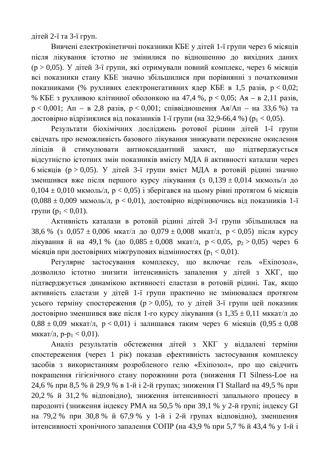$\mu$ ітей 2-ї та 3-ї груп.

Вивчені електрокінетичні показники КБЕ у дітей 1-ї групи через 6 місяців після лікування істотно не змінилися по відношенню до вихідних даних  $(p > 0.05)$ . У дітей 3-ї групи, які отримували повний комплекс, через 6 місяців всі показники стану КБЕ значно збільшилися при порівнянні з початковими показниками (% рухливих електронегативних ядер КБЕ в 1,5 разів,  $p < 0.02$ ; % КБЕ з рухливою клітинної оболонкою на 47,4 %,  $p < 0.05$ ; Ая – в 2,11 разів,  $p < 0.001$ ;  $An - B$  2,8 pasis,  $p < 0.001$ ; співвідношення  $As/An - Ha$  33,6 %) та достовірно відрізнялися від показників 1-ї групи (на 32,9-66,4 %) ( $p_1 < 0.05$ ).

Результати біохімічних досліджень ротової рідини дітей 1-ї групи свідчать про неможливість базового лікування знижувати перекисне окислення ліпідів й стимулювати антиоксидантний захист, що підтверджується відсутністю істотних змін показників вмісту МДА й активності каталази через 6 місяців ( $p > 0.05$ ). У дітей 3-ї групи вміст МДА в ротовій рідині значно зменшився вже після першого курсу лікування (з 0,139 ± 0,014 мкмоль/л до  $0,104 \pm 0,010$  мкмоль/л,  $p < 0,05$ ) і зберігався на цьому рівні протягом 6 місяців  $(0.088 \pm 0.009 \text{ MKMOL/L}$ ,  $p < 0.01$ ), достовірно відрізняючись від показників 1-ї групи  $(p_1 < 0.01)$ .

Активність каталази в ротовій рідині дітей 3-ї групи збільшилася на 38,6 % (3 0,057  $\pm$  0,006 MKaT/ $\pi$   $\mu$  0,079  $\pm$  0,008 MKaT/ $\pi$ ,  $p$  < 0,05)  $\pi$ ic $\pi$ g kypcy лікування й на 49,1 % (до 0,085 ± 0,008 мкат/л,  $p < 0.05$ ,  $p_2 > 0.05$ ) через 6 місяців при достовірних міжгрупових відмінностях ( $p_1 < 0.01$ ).

Регулярне застосування комплексу, що включає гель «Ехіпозол», дозволило істотно знизити інтенсивність запалення у дітей з ХКГ, що підтверджується динамікою активності еластази в ротовій рідині. Так, якщо активність еластази у дітей 1-ї групи практично не змінювалася протягом усього терміну спостереження ( $p > 0.05$ ), то у дітей 3-ї групи цей показник достовірно зменшився вже після 1-го курсу лікування (з 1,35 ± 0,11 мккат/л до  $0.88 \pm 0.09$  MKKaT/ $\pi$ ,  $p < 0.01$ ) *i* залишався таким через 6 місяців (0,95  $\pm$  0,08 MKKaT/ $\pi$ , p-p<sub>1</sub> < 0,01).

Аналіз результатів обстеження дітей з ХКГ у віддалені терміни спостереження (через 1 рік) показав ефективність застосування комплексу засобів з використанням розробленого гелю «Ехіпозол», про що свідчить покращення гігієнічного стану порожнини рота (зниження ГІ Silness-Loe на 24,6 % при 8,5 % й 29,9 % в 1-й і 2-й групах; зниження ГІ Stallard на 49,5 % при 20,2 % й 31,2 % відповідно), зниження інтенсивності запального процесу в пародонті (зниження індексу РМА на 50,5 % при 39,1 % у 2-й групі; індексу GI на 79,2 % при 30,8 % й 67,9 % у 1-й і 2-й групах відповідно), зменшення інтенсивності хронічного запалення СОПР (на 43,9 % при 5,7 % й 43,4 % у 1-й і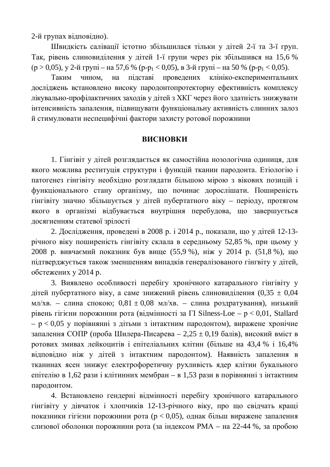2-й групах відповідно).

Швидкість салівації істотно збільшилася тільки у дітей 2-ї та 3-ї груп. Так, рівень слиновиділення у дітей 1-ї групи через рік збільшився на 15,6 %  $(p > 0.05)$ , y 2-й групі – на 57,6 % (p-p<sub>1</sub> < 0.05), в 3-й групі – на 50 % (p-p<sub>1</sub> < 0.05).

Таким чином, на підставі проведених клініко-експериментальних досліджень встановлено високу пародонтопротекторну ефективність комплексу лікувально-профілактичних заходів у дітей з ХКГ через його здатність знижувати інтенсивність запалення, підвищувати функціональну активність слинних залоз й стимулювати неспецифічні фактори захисту ротової порожнини

#### **ВИСНОВКИ**

1. Гінгівіт у дітей розглядається як самостійна нозологічна одиниця, для якого можлива реституція структури і функцій тканин пародонта. Етіологію і патогенез гінгівіту необхідно розглядати більшою мірою з вікових позицій і функціонального стану організму, що починає дорослішати. Поширеність гінгівіту значно збільшується у дітей пубертатного віку – періоду, протягом якого в організмі відбувається внутрішня перебудова, що завершується досягненням статевої зрілості

2. Дослідження, проведені в 2008 р. і 2014 р., показали, що у дітей 12-13річного віку поширеність гінгівіту склала в середньому 52,85 %, при цьому у 2008 р. вивчаємий показник був вище (55,9 %), ніж у 2014 р. (51,8 %), що підтверджується також зменшенням випадків генералізованого гінгвіту у дітей, обстежених у 2014 p.

3. Виявлено особливості перебігу хронічного катарального гінгівіту у дітей пубертатного віку, а саме знижений рівень слиновиділення  $(0.35 \pm 0.04$ мл/хв. – слина спокою;  $0.81 \pm 0.08$  мл/хв. – слина роздратування), низький рівень гігієни порожнини рота (відмінності за  $\Gamma I$  Silness-Loe –  $p < 0.01$ , Stallard  $- p < 0.05$  у порівнянні з дітьми з інтактним пародонтом), виражене хронічне запалення СОПР (проба Шилера-Писарева – 2,25  $\pm$  0,19 балів), високий вміст в ротових змивах лейкоцитів і епітеліальних клітин (більше на 43,4 % і 16,4% відповідно ніж у дітей з інтактним пародонтом). Наявність запалення в тканинах ясен знижує електрофоретичну рухливість ядер клітин букального епітелію в 1,62 рази і клітинних мембран – в 1,53 рази в порівнянні з інтактним пародонтом.

4. Встановлено гендерні відмінності перебігу хронічного катарального гінгівіту у дівчаток і хлопчиків 12-13-річного віку, про що свідчать кращі показники гігієни порожнини рота ( $p < 0.05$ ), однак більш виражене запалення слизової оболонки порожнини рота (за індексом РМА – на 22-44 %, за пробою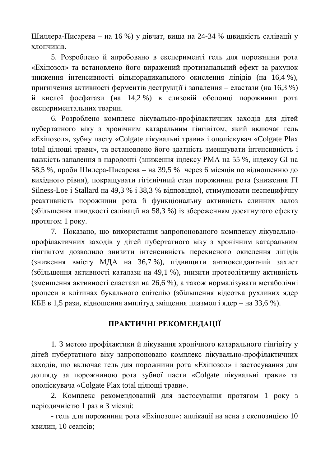Шиллера-Писарева – на 16 %) у дівчат, вища на 24-34 % швидкість салівації у  $x$  $\pi$  $\sigma$  $\pi$  $\mu$  $\sigma$  $\tau$  $\sigma$ .

5. Розроблено й апробовано в експерименті гель для порожнини рота «Ехіпозол» та встановлено його виражений протизапальний ефект за рахунок зниження інтенсивності вільнорадикального окислення ліпідів (на 16,4 %), пригнічення активності ферментів деструкції і запалення – еластази (на 16,3 %) й кислої фосфатази (на 14,2 %) в слизовій оболонці порожнини рота експериментальних тварин.

6. Розроблено комплекс лікувально-профілактичних заходів для дітей пубертатного віку з хронічним катаральним гінгівітом, який включає гель «Ехіпозол», зубну пасту «Colgate лікувальні трави» і ополіскувач «Colgate Plax total цілющі трави», та встановлено його здатність зменшувати інтенсивність і важкість запалення в пародонті (зниження індексу РМА на 55 %, індексу GI на 58,5 %, проби Шилера-Писарева – на 39,5 % через 6 місяців по відношенню до вихідного рівня), покращувати гігієнічний стан порожнини рота (зниження ГІ Silness-Loe i Stallard на 49,3 % і 38,3 % відповідно), стимулювати неспецифічну реактивність порожнини рота й функціональну активність слинних залоз (збільшення швидкості салівації на 58,3 %) із збереженням досягнутого ефекту протягом 1 року.

7. Показано, що використання запропонованого комплексу лікувальнопрофілактичних заходів у дітей пубертатного віку з хронічним катаральним гінгівітом дозволило знизити інтенсивність перекисного окислення ліпідів (зниження вмісту МДА на 36,7 %), підвищити антиоксидантний захист (збільшення активності каталази на 49,1 %), знизити протеолітичну активність (зменшення активності еластази на 26,6 %), а також нормалізувати метаболічні процеси в клітинах букального епітелію (збільшення відсотка рухливих ядер КБЕ в 1,5 рази, відношення амплітуд зміщення плазмол і ядер – на 33,6 %).

## ПРАКТИЧНІ РЕКОМЕНДАЦІЇ

1. З метою профілактики й лікування хронічного катарального гінгівіту у дітей пубертатного віку запропоновано комплекс лікувально-профілактичних заходів, що включає гель для порожнини рота «Ехіпозол» і застосування для догляду за порожниною рота зубної пасти «Colgate лікувальні трави» та ополіскувача «Colgate Plax total цілющі трави».

2. Комплекс рекомендований для застосування протягом 1 року з періодичністю 1 раз в 3 місяці:

- гель для порожнини рота «Ехіпозол»: аплікації на ясна з експозицією 10 хвилин, 10 сеансів;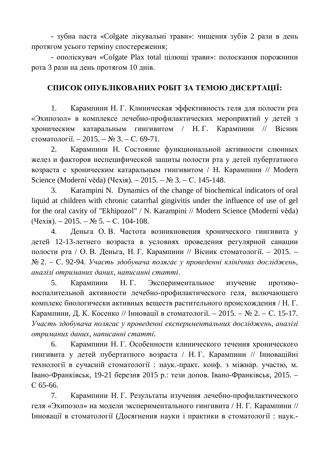- зубна паста «Colgate лікувальні трави»: чищення зубів 2 рази в день протягом усього терміну спостереження;

- ополіскувач «Colgate Plax total цілющі трави»: полоскання порожнини рота 3 рази на день протягом 10 днів.

## СПИСОК ОПУБЛІКОВАНИХ РОБІТ ЗА ТЕМОЮ ДИСЕРТАЦІЇ:

1. Карампини Н. Г. Клиническая эффективность геля для полости рта «Эхипозол» в комплексе лечебно-профилактических мероприятий у детей з хроническим катаральным гингивитом / Н.Г. Карампини // Вісник стоматології. – 2015. – № 3. – С. 69-71.

2. Карампини Н. Состояние функциональной активности слюнных желез и факторов неспецифической защиты полости рта у детей пубертатного возраста с хроническим катаральным гингивитом / Н. Карампини // Modern Science (Moderní věda) (Чехія). – 2015. – № 3. – С. 145-148.

3. Karampini N. Dynamics of the change of biochemical indicators of oral liquid at children with chronic catarrhal gingivitis under the influence of use of gel for the oral cavity of "Ekhipozol" / N. Karampini // Modern Science (Moderní věda)  $(YlexiA)$ . – 2015. –  $N_2$  5. – C. 104-108.

4. Деньга О. В. Частота возникновения хронического гингивита у детей 12-13-летнего возраста в условиях проведения регулярной санации полости рта / О. В. Деньга, Н. Г. Карампини // Вісник стоматології. – 2015. –  $N<sub>®</sub>$  2. – С. 92-94. Участь здобувача полягає у проведенні клінічних досліджень, *ɚɧɚɥɿɡɿɨɬɪɢɦɚɧɢɯɞɚɧɢɯ, ɧɚɩɢɫɚɧɧɿɫɬɚɬɬɿ.*

5. Карампини Н.Г. Экспериментальное изучение противовоспалительной активности лечебно-профилактического геля, включающего комплекс биологически активных веществ растительного происхождения / Н. Г. Карампини, Д. К. Косенко // Інновації в стоматології. – 2015. – № 2. – С. 15-17. *ɍɱɚɫɬɶɡɞɨɛɭɜɚɱɚɩɨɥɹɝɚɽɭɩɪɨɜɟɞɟɧɧɿɟɤɫɩɟɪɢɦɟɧɬɚɥɶɧɢɯɞɨɫɥɿɞɠɟɧɶ, ɚɧɚɥɿɡɿ*  $\delta$ *отриманих даних, написанні статті.* 

6. Карампини Н. Г. Особенности клинического течения хронического гингивита у детей пубертатного возраста / Н.Г. Карампини // Інноваційні технології в сучасній стоматології : наук.-практ. конф. з міжнар. участю, м. Iвано-Франківськ, 19-21 березня 2015 р.: тези допов. Івано-Франківськ, 2015. – C 65-66.

7. Карампини Н. Г. Результаты изучения лечебно-профилактического геля «Эхипозол» на модели экспериментального гингивита / Н. Г. Карампини // Інновації в стоматології (Досягнення науки і практики в стоматології: наук.-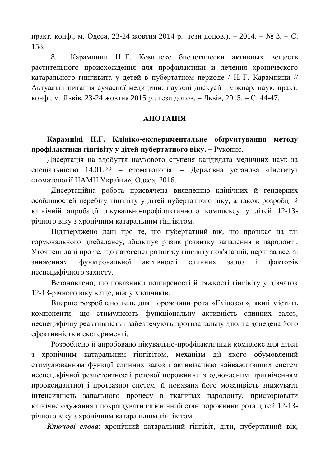практ. конф., м. Одеса, 23-24 жовтня 2014 р.: тези допов.). – 2014. – № 3. – С. 158.

8. Карампини Н. Г. Комплекс биологически активных веществ растительного происхождения для профилактики и лечения хронического катарального гингивита у детей в пубертатном периоде / Н. Г. Карампини // Актуальні питання сучасної медицини: наукові дискусії: міжнар. наук.-практ. конф., м. Львів, 23-24 жовтня 2015 р.: тези допов. – Львів, 2015. – С. 44-47.

#### **AHOTAIIIA**

Карампіні Н.Г. Клініко-експериментальне обґрунтування методу профілактики гінгівіту у дітей пубертатного віку. – Рукопис.

Дисертація на здобуття наукового ступеня кандидата медичних наук за спеціальністю 14.01.22 – стоматологія. – Державна установа «Інститут стоматології НАМН України», Одеса, 2016.

Дисертаційна робота присвячена виявленню клінічних й гендерних особливостей перебігу гінгівіту у дітей пубертатного віку, а також розробці й клінічній апробації лікувально-профілактичного комплексу у дітей 12-13річного віку з хронічним катаральним гінгівітом.

Підтверджено дані про те, що пубертатний вік, що протікає на тлі гормонального дисбалансу, збільшує ризик розвитку запалення в пародонті. Уточнені дані про те, що патогенез розвитку гінгівіту пов'язаний, перш за все, зі зниженням функціональної активності слинних залоз і факторів неспецифічного захисту.

Встановлено, що показники поширеності й тяжкості гінгівіту у дівчаток 12-13-річного віку вище, ніж у хлопчиків.

Вперше розроблено гель для порожнини рота «Ехіпозол», який містить компоненти, що стимулюють функціональну активність слинних залоз, неспецифічну реактивність і забезпечують протизапальну дію, та доведена його ефективність в експерименті.

Розроблено й апробовано лікувально-профілактичний комплекс для дітей з хронічним катаральним гінгівітом, механізм дії якого обумовлений стимулюванням функції слинних залоз і активізацією найважливіших систем неспецифічної резистентності ротової порожнини з одночасним пригніченням прооксидантної і протеазної систем, й показана його можливість знижувати інтенсивність запального процесу в тканинах пародонту, прискорювати клінічне одужання і покращувати гігієнічний стан порожнини рота дітей 12-13річного віку з хронічним катаральним гінгівітом.

Ключові слова: хронічний катаральний гінгівіт, діти, пубертатний вік,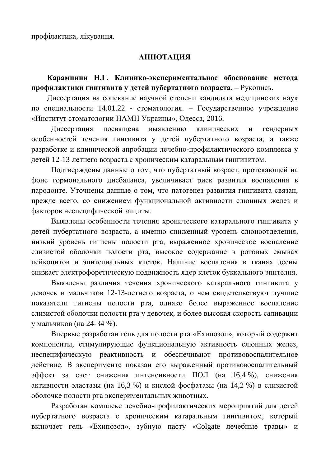профілактика, лікування.

### **АННОТАЦИЯ**

Карампини Н.Г. Клинико-экспериментальное обоснование метода профилактики гингивита у детей пубертатного возраста. – Рукопись.

Диссертация на соискание научной степени кандидата медицинских наук по специальности 14.01.22 - стоматология. – Государственное учреждение «Институт стоматологии НАМН Украины», Одесса, 2016.

Диссертация посвящена выявлению клинических и гендерных особенностей течения гингивита у детей пубертатного возраста, а также разработке и клинической апробации лечебно-профилактического комплекса у детей 12-13-летнего возраста с хроническим катаральным гингивитом.

Подтверждены данные о том, что пубертатный возраст, протекающей на фоне гормонального дисбаланса, увеличивает риск развития воспаления в пародонте. Уточнены данные о том, что патогенез развития гингивита связан, прежде всего, со снижением функциональной активности слюнных желез и факторов неспецифической защиты.

Выявлены особенности течения хронического катарального гингивита у детей пубертатного возраста, а именно сниженный уровень слюноотделения, низкий уровень гигиены полости рта, выраженное хроническое воспаление слизистой оболочки полости рта, высокое содержание в ротовых смывах лейкоцитов и эпителиальных клеток. Наличие воспаления в тканях десны снижает электрофоретическую подвижность ядер клеток буккального эпителия.

Выявлены различия течения хронического катарального гингивита у девочек и мальчиков 12-13-летнего возраста, о чем свидетельствуют лучшие показатели гигиены полости рта, однако более выраженное воспаление слизистой оболочки полости рта у девочек, и более высокая скорость саливации у мальчиков (на 24-34 %).

Впервые разработан гель для полости рта «Ехипозол», который содержит компоненты, стимулирующие функциональную активность слюнных желез, неспецифическую реактивность и обеспечивают противовоспалительное действие. В эксперименте показан его выраженный противовоспалительный эффект за счет снижения интенсивности ПОЛ (на 16,4 %), снижения активности эластазы (на 16,3 %) и кислой фосфатазы (на 14,2 %) в слизистой оболочке полости рта экспериментальных животных.

Разработан комплекс лечебно-профилактических мероприятий для детей пубертатного возраста с хроническим катаральным гингивитом, который включает гель «Ехипозол», зубную пасту «Colgate лечебные травы» и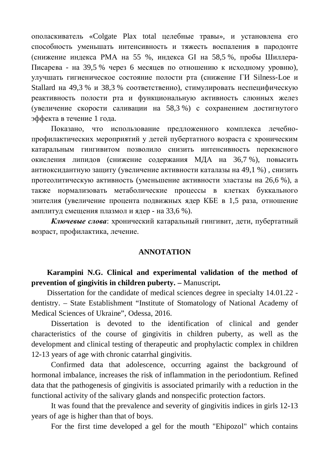ополаскиватель «Colgate Plax total целебные травы», и установлена его способность уменьшать интенсивность и тяжесть воспаления в пародонте (снижение индекса РМА на 55 %, индекса GI на 58,5 %, пробы Шиллера-Писарева - на 39,5 % через 6 месяцев по отношению к исходному уровню), улучшать гигиеническое состояние полости рта (снижение ГИ Silness-Loe и Stallard на 49,3 % и 38,3 % соответственно), стимулировать неспецифическую реактивность полости рта и функциональную активность слюнных желез (увеличение скорости саливации на 58,3 %) с сохранением достигнутого эффекта в течение 1 года.

Показано, что использование предложенного комплекса лечебнопрофилактических мероприятий у детей пубертатного возраста с хроническим катаральным гингивитом позволило снизить интенсивность перекисного окисления липидов (снижение содержания МДА на 36,7 %), повысить антиоксидантную защиту (увеличение активности каталазы на 49,1 %), снизить протеолитическую активность (уменьшение активности эластазы на 26,6 %), а также нормализовать метаболические процессы в клетках буккального эпителия (увеличение процента подвижных ядер КБЕ в 1,5 раза, отношение амплитуд смещения плазмол и ядер - на 33,6 %).

**Ключевые слова:** хронический катаральный гингивит, дети, пубертатный возраст, профилактика, лечение.

#### **ANNOTATION**

**Karampini N.G. Clinical and experimental validation of the method of prevention of gingivitis in children puberty. –** Manuscript**.**

Dissertation for the candidate of medical sciences degree in specialty 14.01.22 dentistry. – State Establishment "Institute of Stomatology of National Academy of Medical Sciences of Ukraine", Odessa, 2016.

Dissertation is devoted to the identification of clinical and gender characteristics of the course of gingivitis in children puberty, as well as the development and clinical testing of therapeutic and prophylactic complex in children 12-13 years of age with chronic catarrhal gingivitis.

Confirmed data that adolescence, occurring against the background of hormonal imbalance, increases the risk of inflammation in the periodontium. Refined data that the pathogenesis of gingivitis is associated primarily with a reduction in the functional activity of the salivary glands and nonspecific protection factors.

It was found that the prevalence and severity of gingivitis indices in girls 12-13 years of age is higher than that of boys.

For the first time developed a gel for the mouth "Ehipozol" which contains